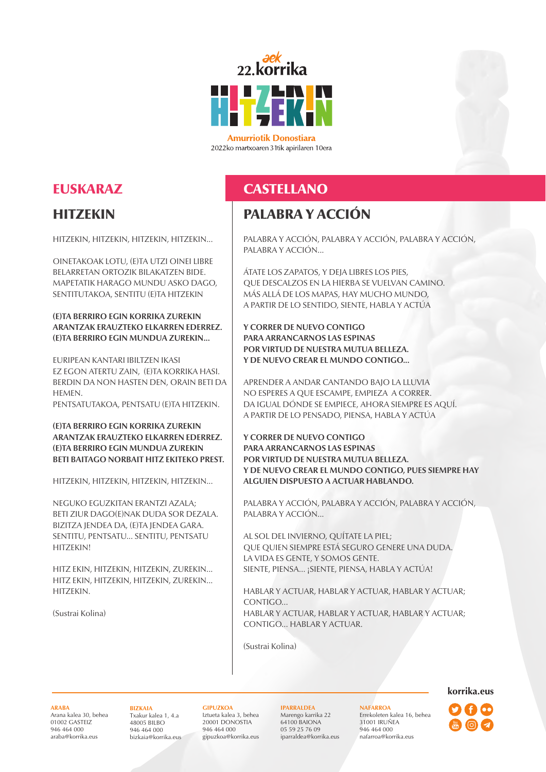

**Amurriotik Donostiara** 2022ko martxoaren 31tik apirilaren 10era

# EUSKARAZ

### **HITZEKIN**

HITZEKIN, HITZEKIN, HITZEKIN, HITZEKIN...

OINETAKOAK LOTU, (E)TA UTZI OINEI LIBRE BELARRETAN ORTOZIK BILAKATZEN BIDE. MAPETATIK HARAGO MUNDU ASKO DAGO, SENTITUTAKOA, SENTITU (E)TA HITZEKIN

### **(E)TA BERRIRO EGIN KORRIKA ZUREKIN ARANTZAK ERAUZTEKO ELKARREN EDERREZ. (E)TA BERRIRO EGIN MUNDUA ZUREKIN...**

EURIPEAN KANTARI IBILTZEN IKASI EZ EGON ATERTU ZAIN, (E)TA KORRIKA HASI. BERDIN DA NON HASTEN DEN, ORAIN BETI DA **HEMEN.** 

PENTSATUTAKOA, PENTSATU (E)TA HITZEKIN.

### **(E)TA BERRIRO EGIN KORRIKA ZUREKIN ARANTZAK ERAUZTEKO ELKARREN EDERREZ. (E)TA BERRIRO EGIN MUNDUA ZUREKIN BETI BAITAGO NORBAIT HITZ EKITEKO PREST.**

HITZEKIN, HITZEKIN, HITZEKIN, HITZEKIN...

NEGUKO EGUZKITAN ERANTZI AZALA; BETI ZIUR DAGO(E)NAK DUDA SOR DEZALA. BIZITZA JENDEA DA, (E)TA JENDEA GARA. SENTITU, PENTSATU... SENTITU, PENTSATU **HITZEKIN!** 

HITZ EKIN, HITZEKIN, HITZEKIN, ZUREKIN... HITZ EKIN, HITZEKIN, HITZEKIN, ZUREKIN... HITZEKIN.

(Sustrai Kolina)

# **CASTELLANO**

## PALABRA Y ACCIÓN

PALABRA Y ACCIÓN, PALABRA Y ACCIÓN, PALABRA Y ACCIÓN, PALABRA Y ACCIÓN...

ÁTATE LOS ZAPATOS, Y DEJA LIBRES LOS PIES, QUE DESCALZOS EN LA HIERBA SE VUELVAN CAMINO. MÁS ALLÁ DE LOS MAPAS, HAY MUCHO MUNDO, A PARTIR DE LO SENTIDO, SIENTE, HABLA Y ACTÚA

### **Y CORRER DE NUEVO CONTIGO PARA ARRANCARNOS LAS ESPINAS POR VIRTUD DE NUESTRA MUTUA BELLEZA. Y DE NUEVO CREAR EL MUNDO CONTIGO...**

APRENDER A ANDAR CANTANDO BAJO LA LLUVIA NO ESPERES A QUE ESCAMPE, EMPIEZA A CORRER. DA IGUAL DÓNDE SE EMPIECE, AHORA SIEMPRE ES AQUÍ. A PARTIR DE LO PENSADO, PIENSA, HABLA Y ACTÚA

**Y CORRER DE NUEVO CONTIGO PARA ARRANCARNOS LAS ESPINAS POR VIRTUD DE NUESTRA MUTUA BELLEZA. Y DE NUEVO CREAR EL MUNDO CONTIGO, PUES SIEMPRE HAY ALGUIEN DISPUESTO A ACTUAR HABLANDO.**

PALABRA Y ACCIÓN, PALABRA Y ACCIÓN, PALABRA Y ACCIÓN, PALABRA Y ACCIÓN...

AL SOL DEL INVIERNO, QUÍTATE LA PIEL; QUE QUIEN SIEMPRE ESTÁ SEGURO GENERE UNA DUDA. LA VIDA ES GENTE, Y SOMOS GENTE. SIENTE, PIENSA... ¡SIENTE, PIENSA, HABLA Y ACTÚA!

HABLAR Y ACTUAR, HABLAR Y ACTUAR, HABLAR Y ACTUAR; CONTIGO. HABLAR Y ACTUAR, HABLAR Y ACTUAR, HABLAR Y ACTUAR; CONTIGO... HABLAR Y ACTUAR.

(Sustrai Kolina)

### **ARABA**

Arana kalea 30, behea 01002 GASTEIZ 946 464 000 araba@korrika.eus

#### **BIZKAIA** Txakur kalea 1, 4.a 48005 BILBO 946 464 000 bizkaia@korrika.eus

**GIPUZKOA** Iztueta kalea 3, behea 20001 DONOSTIA 946 464 000 gipuzkoa@korrika.eus **IPARRALDEA** Marengo karrika 22 64100 BAIONA 05 59 25 76 09 iparraldea@korrika.eus

**NAFARROA** Errekoleten kalea 16, behea 31001 IRUÑEA 946 464 000 nafarroa@korrika.eus

**korrika.eus**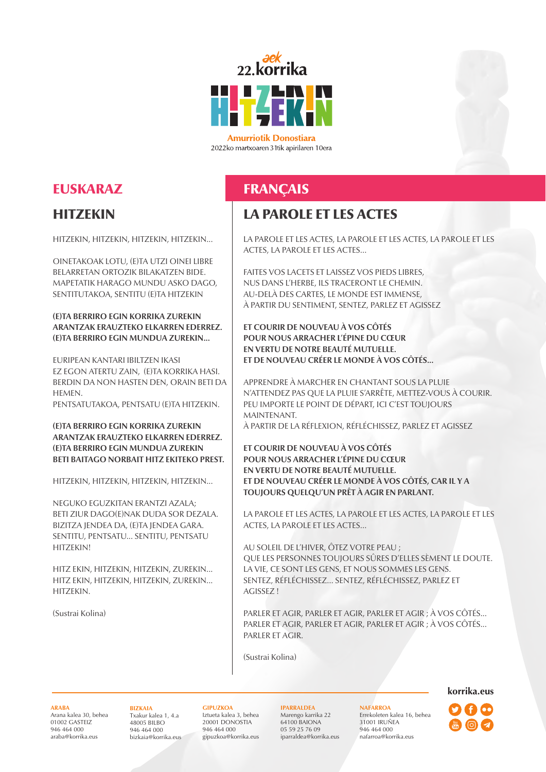

**Amurriotik Donostiara** 2022ko martxoaren 31tik apirilaren 10era

# EUSKARAZ

### **HITZEKIN**

HITZEKIN, HITZEKIN, HITZEKIN, HITZEKIN...

OINETAKOAK LOTU, (E)TA UTZI OINEI LIBRE BELARRETAN ORTOZIK BILAKATZEN BIDE. MAPETATIK HARAGO MUNDU ASKO DAGO, SENTITUTAKOA, SENTITU (E)TA HITZEKIN

### **(E)TA BERRIRO EGIN KORRIKA ZUREKIN ARANTZAK ERAUZTEKO ELKARREN EDERREZ. (E)TA BERRIRO EGIN MUNDUA ZUREKIN...**

EURIPEAN KANTARI IBILTZEN IKASI EZ EGON ATERTU ZAIN, (E)TA KORRIKA HASI. BERDIN DA NON HASTEN DEN, ORAIN BETI DA **HEMEN.** 

PENTSATUTAKOA, PENTSATU (E)TA HITZEKIN.

### **(E)TA BERRIRO EGIN KORRIKA ZUREKIN ARANTZAK ERAUZTEKO ELKARREN EDERREZ. (E)TA BERRIRO EGIN MUNDUA ZUREKIN BETI BAITAGO NORBAIT HITZ EKITEKO PREST.**

HITZEKIN, HITZEKIN, HITZEKIN, HITZEKIN...

NEGUKO EGUZKITAN ERANTZI AZALA; BETI ZIUR DAGO(E)NAK DUDA SOR DEZALA. BIZITZA JENDEA DA, (E)TA JENDEA GARA. SENTITU, PENTSATU... SENTITU, PENTSATU HITZEKIN!

HITZ EKIN, HITZEKIN, HITZEKIN, ZUREKIN... HITZ EKIN, HITZEKIN, HITZEKIN, ZUREKIN... HITZEKIN.

(Sustrai Kolina)

# FRANÇAIS

### LA PAROLE ET LES ACTES

LA PAROLE ET LES ACTES, LA PAROLE ET LES ACTES, LA PAROLE ET LES ACTES, LA PAROLE ET LES ACTES...

FAITES VOS LACETS ET LAISSEZ VOS PIEDS LIBRES, NUS DANS L'HERBE, ILS TRACERONT LE CHEMIN. AU-DELÀ DES CARTES, LE MONDE EST IMMENSE, À PARTIR DU SENTIMENT, SENTEZ, PARLEZ ET AGISSEZ

### **ET COURIR DE NOUVEAU À VOS CÔTÉS POUR NOUS ARRACHER L'ÉPINE DU CŒUR EN VERTU DE NOTRE BEAUTÉ MUTUELLE. ET DE NOUVEAU CRÉER LE MONDE À VOS CÔTÉS...**

APPRENDRE À MARCHER EN CHANTANT SOUS LA PLUIE N'ATTENDEZ PAS QUE LA PLUIE S'ARRÊTE, METTEZ-VOUS À COURIR. PEU IMPORTE LE POINT DE DÉPART, ICI C'EST TOUJOURS MAINTENANT.

À PARTIR DE LA RÉFLEXION, RÉFLÉCHISSEZ, PARLEZ ET AGISSEZ

**ET COURIR DE NOUVEAU À VOS CÔTÉS POUR NOUS ARRACHER L'ÉPINE DU CŒUR EN VERTU DE NOTRE BEAUTÉ MUTUELLE. ET DE NOUVEAU CRÉER LE MONDE À VOS CÔTÉS, CAR IL Y A TOUJOURS QUELQU'UN PRÊT À AGIR EN PARLANT.**

LA PAROLE ET LES ACTES, LA PAROLE ET LES ACTES, LA PAROLE ET LES ACTES, LA PAROLE ET LES ACTES...

AU SOLEIL DE L'HIVER, ÔTEZ VOTRE PEAU ; QUE LES PERSONNES TOUJOURS SÛRES D'ELLES SÈMENT LE DOUTE. LA VIE, CE SONT LES GENS, ET NOUS SOMMES LES GENS. SENTEZ, RÉFLÉCHISSEZ… SENTEZ, RÉFLÉCHISSEZ, PARLEZ ET AGISSEZ !

PARLER ET AGIR, PARLER ET AGIR, PARLER ET AGIR ; À VOS CÔTÉS... PARLER ET AGIR, PARLER ET AGIR, PARLER ET AGIR ; À VOS CÔTÉS... PARLER ET AGIR.

(Sustrai Kolina)

#### **ARABA**

Arana kalea 30, behea 01002 GASTEIZ 946 464 000 araba@korrika.eus

#### **BIZKAIA** Txakur kalea 1, 4.a 48005 BILBO 946 464 000 bizkaia@korrika.eus

**GIPUZKOA** Iztueta kalea 3, behea 20001 DONOSTIA 946 464 000 gipuzkoa@korrika.eus

**IPARRALDEA** Marengo karrika 22 64100 BAIONA 05 59 25 76 09 iparraldea@korrika.eus

**NAFARROA** Errekoleten kalea 16, behea 31001 IRUÑEA 946 464 000 nafarroa@korrika.eus

**korrika.eus**